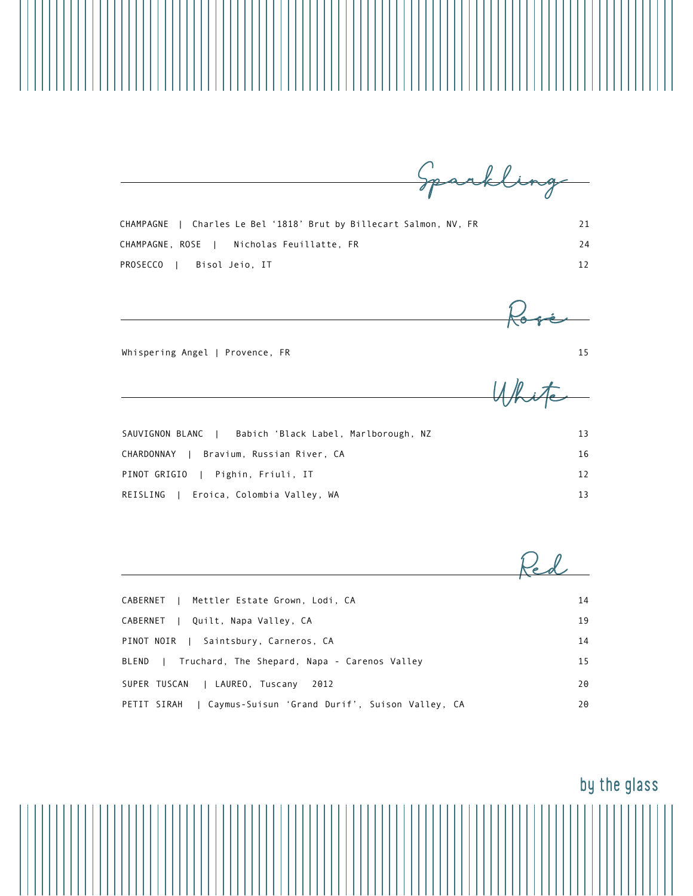CHAMPAGNE | Charles Le Bel '1818' Brut by Billecart Salmon, NV, FR 21 CHAMPAGNE, ROSE | Nicholas Feuillatte, FR 24 PROSECCO | Bisol Jeio, IT 12

Sparkling

Rosé

White

SAUVIGNON BLANC | Babich 'Black Label, Marlborough, NZ 13 CHARDONNAY | Bravium, Russian River, CA 16 PINOT GRIGIO | Pighin, Friuli, IT 12 REISLING | Eroica, Colombia Valley, WA 13

Whispering Angel | Provence, FR 15

| CABERNET   Mettler Estate Grown, Lodi, CA                     | 14 |
|---------------------------------------------------------------|----|
| CABERNET   Quilt, Napa Valley, CA                             | 19 |
| PINOT NOIR   Saintsbury, Carneros, CA                         | 14 |
| Truchard, The Shepard, Napa - Carenos Valley<br>BLEND         | 15 |
| SUPER TUSCAN   LAUREO, Tuscany<br>2012                        | 20 |
| Caymus-Suisun 'Grand Durif', Suison Valley, CA<br>PETIT SIRAH | 20 |

## by the glass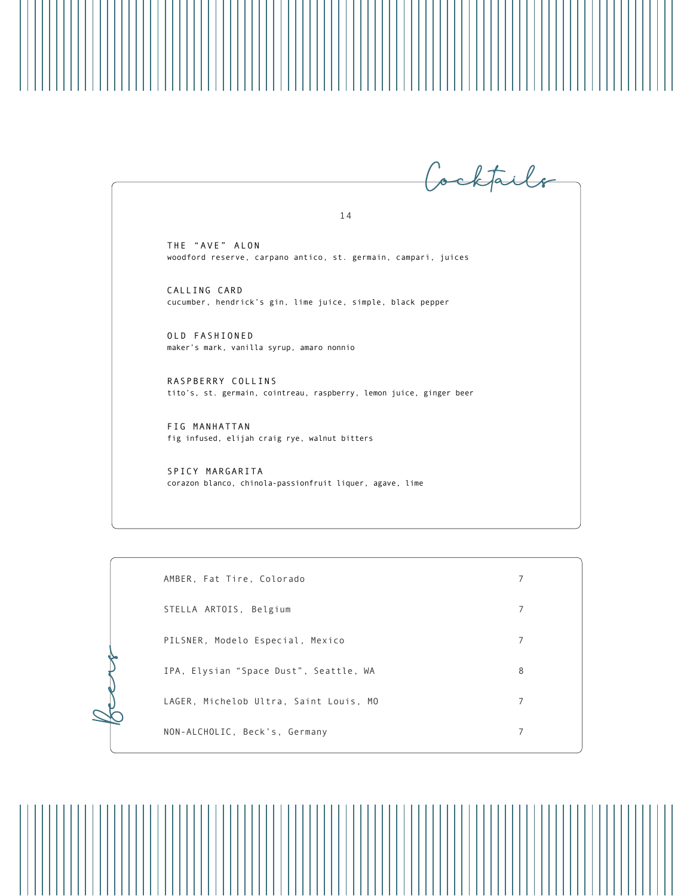Cocktails 1 4

THE "AVE" ALON woodford reserve, carpano antico, st. germain, campari, juices

CALLING CARD cucumber, hendrick's gin, lime juice, simple, black pepper

OLD FASHIONED maker's mark, vanilla syrup, amaro nonnio

RASPBERRY COLLINS tito's, st. germain, cointreau, raspberry, lemon juice, ginger beer

FIG MANHATTAN fig infused, elijah craig rye, walnut bitters

Beer

SPICY MARGARITA corazon blanco, chinola-passionfruit liquer, agave, lime

| AMBER, Fat Tire, Colorado              | 7 |
|----------------------------------------|---|
| STELLA ARTOIS, Belgium                 | 7 |
| PILSNER, Modelo Especial, Mexico       | 7 |
| IPA, Elysian "Space Dust", Seattle, WA | 8 |
| LAGER, Michelob Ultra, Saint Louis, MO | 7 |
| NON-ALCHOLIC, Beck's, Germany          | 7 |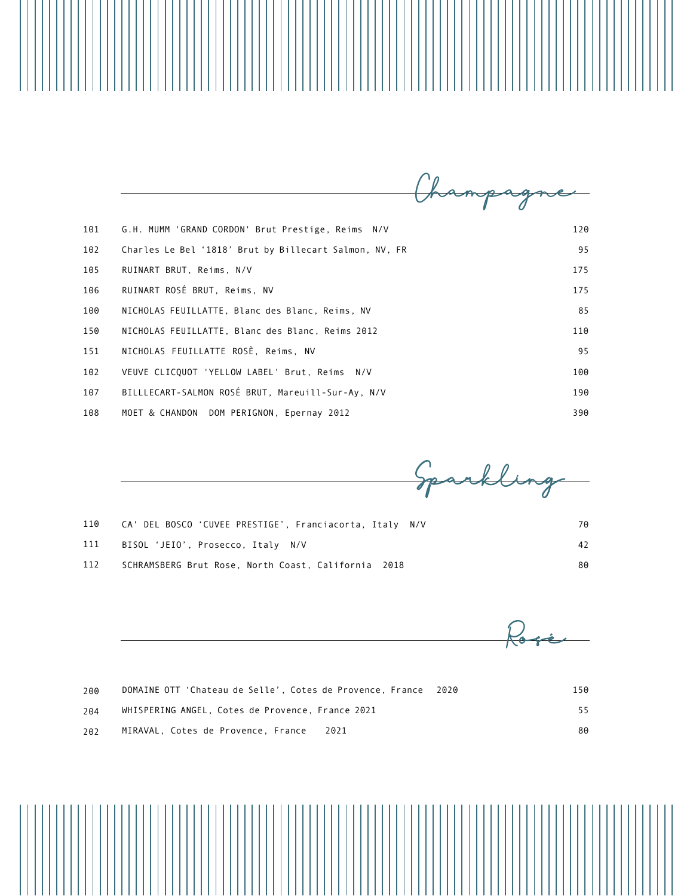| 101 | G.H. MUMM 'GRAND CORDON' Brut Prestige, Reims N/V      | 120 |
|-----|--------------------------------------------------------|-----|
| 102 | Charles Le Bel '1818' Brut by Billecart Salmon, NV, FR | 95  |
| 105 | RUINART BRUT, Reims, N/V                               | 175 |
| 106 | RUINART ROSÉ BRUT, Reims, NV                           | 175 |
| 100 | NICHOLAS FEUILLATTE, Blanc des Blanc, Reims, NV        | 85  |
| 150 | NICHOLAS FEUILLATTE, Blanc des Blanc, Reims 2012       | 110 |
| 151 | NICHOLAS FEUILLATTE ROSÈ, Reims, NV                    | 95  |
| 102 | VEUVE CLICQUOT 'YELLOW LABEL' Brut, Reims<br>N/V       | 100 |
| 107 | BILLLECART-SALMON ROSÉ BRUT, Mareuill-Sur-Ay, N/V      | 190 |
| 108 | MOET & CHANDON DOM PERIGNON, Epernay 2012              | 390 |

Sparkling

| 110 | CA' DEL BOSCO 'CUVEE PRESTIGE', Franciacorta, Italy N/V | 70 |
|-----|---------------------------------------------------------|----|
| 111 | BISOL 'JEIO', Prosecco, Italy N/V                       | 42 |
| 112 | SCHRAMSBERG Brut Rose, North Coast, California 2018     | 80 |

| 200 | DOMAINE OTT 'Chateau de Selle', Cotes de Provence, France<br>2020 | 150 |
|-----|-------------------------------------------------------------------|-----|
| 204 | WHISPERING ANGEL, Cotes de Provence, France 2021                  | 55  |
| 202 | MIRAVAL, Cotes de Provence, France<br>2021                        | 80  |

Rosé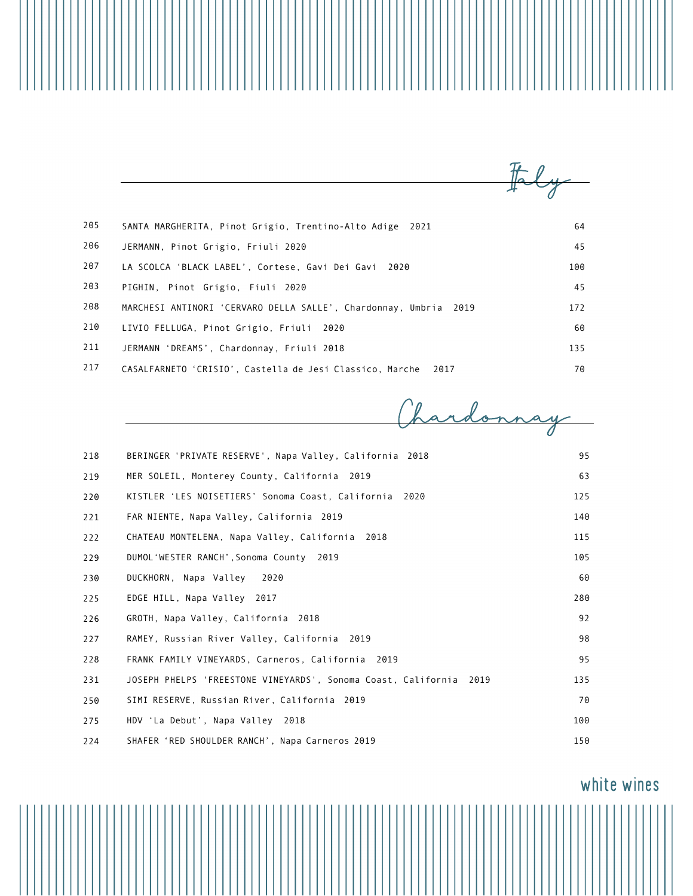| 205 | SANTA MARGHERITA, Pinot Grigio, Trentino-Alto Adige<br>2021         | 64  |
|-----|---------------------------------------------------------------------|-----|
| 206 | JERMANN, Pinot Grigio, Friuli 2020                                  | 45  |
| 207 | LA SCOLCA'BLACK LABEL', Cortese, Gavi Dei Gavi<br>2020              | 100 |
| 203 | PIGHIN, Pinot Grigio, Fiuli 2020                                    | 45  |
| 208 | MARCHESI ANTINORI 'CERVARO DELLA SALLE', Chardonnay, Umbria<br>2019 | 172 |
| 210 | LIVIO FELLUGA, Pinot Grigio, Friuli 2020                            | 60  |
| 211 | JERMANN 'DREAMS', Chardonnay, Friuli 2018                           | 135 |
| 217 | CASALFARNETO 'CRISIO', Castella de Jesi Classico, Marche<br>2017    | 70  |

Chardonnay

| 218 | BERINGER 'PRIVATE RESERVE', Napa Valley, California 2018           | 95  |
|-----|--------------------------------------------------------------------|-----|
| 219 | MER SOLEIL, Monterey County, California 2019                       | 63  |
| 220 | KISTLER 'LES NOISETIERS' Sonoma Coast, California 2020             | 125 |
| 221 | FAR NIENTE, Napa Valley, California 2019                           | 140 |
| 222 | CHATEAU MONTELENA, Napa Valley, California 2018                    | 115 |
| 229 | DUMOL'WESTER RANCH', Sonoma County 2019                            | 105 |
| 230 | DUCKHORN, Napa Valley<br>2020                                      | 60  |
| 225 | EDGE HILL, Napa Valley 2017                                        | 280 |
| 226 | GROTH, Napa Valley, California 2018                                | 92  |
| 227 | RAMEY, Russian River Valley, California 2019                       | 98  |
| 228 | FRANK FAMILY VINEYARDS, Carneros, California 2019                  | 95  |
| 231 | JOSEPH PHELPS 'FREESTONE VINEYARDS', Sonoma Coast, California 2019 | 135 |
| 250 | SIMI RESERVE, Russian River, California 2019                       | 70  |
| 275 | HDV 'La Debut', Napa Valley 2018                                   | 100 |
| 224 | SHAFER 'RED SHOULDER RANCH', Napa Carneros 2019                    | 150 |

white wines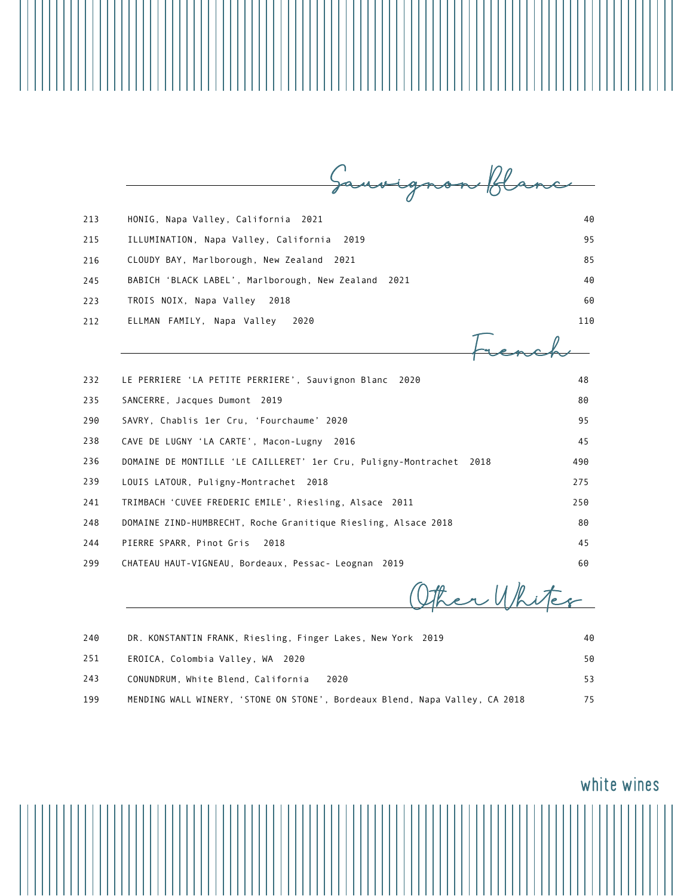| HONIG, Napa Valley, California 2021                                    | 40  |
|------------------------------------------------------------------------|-----|
| ILLUMINATION, Napa Valley, California<br>2019                          | 95  |
| CLOUDY BAY, Marlborough, New Zealand<br>2021                           | 85  |
| BABICH 'BLACK LABEL', Marlborough, New Zealand<br>2021                 | 40  |
| TROIS NOIX, Napa Valley<br>2018                                        | 60  |
| ELLMAN FAMILY, Napa Valley<br>2020                                     | 110 |
|                                                                        |     |
| LE PERRIERE 'LA PETITE PERRIERE', Sauvignon Blanc 2020                 | 48  |
| SANCERRE, Jacques Dumont 2019                                          | 80  |
| SAVRY, Chablis 1er Cru, 'Fourchaume' 2020                              | 95  |
| CAVE DE LUGNY 'LA CARTE', Macon-Lugny 2016                             | 45  |
| DOMAINE DE MONTILLE 'LE CAILLERET' 1er Cru, Puligny-Montrachet<br>2018 | 490 |
| LOUIS LATOUR, Puligny-Montrachet 2018                                  | 275 |
| TRIMBACH 'CUVEE FREDERIC EMILE', Riesling, Alsace 2011                 | 250 |
| DOMAINE ZIND-HUMBRECHT, Roche Granitique Riesling, Alsace 2018         | 80  |
| PIERRE SPARR, Pinot Gris<br>2018                                       | 45  |
| CHATEAU HAUT-VIGNEAU, Bordeaux, Pessac- Leognan 2019                   | 60  |
|                                                                        |     |

Other Whites

| 240 | DR. KONSTANTIN FRANK, Riesling, Finger Lakes, New York 2019                 | 40 |
|-----|-----------------------------------------------------------------------------|----|
| 251 | EROICA, Colombia Valley, WA 2020                                            | 50 |
| 243 | CONUNDRUM, White Blend, California<br>2020                                  | 53 |
| 199 | MENDING WALL WINERY, 'STONE ON STONE', Bordeaux Blend, Napa Valley, CA 2018 | 75 |

Ш

## white wines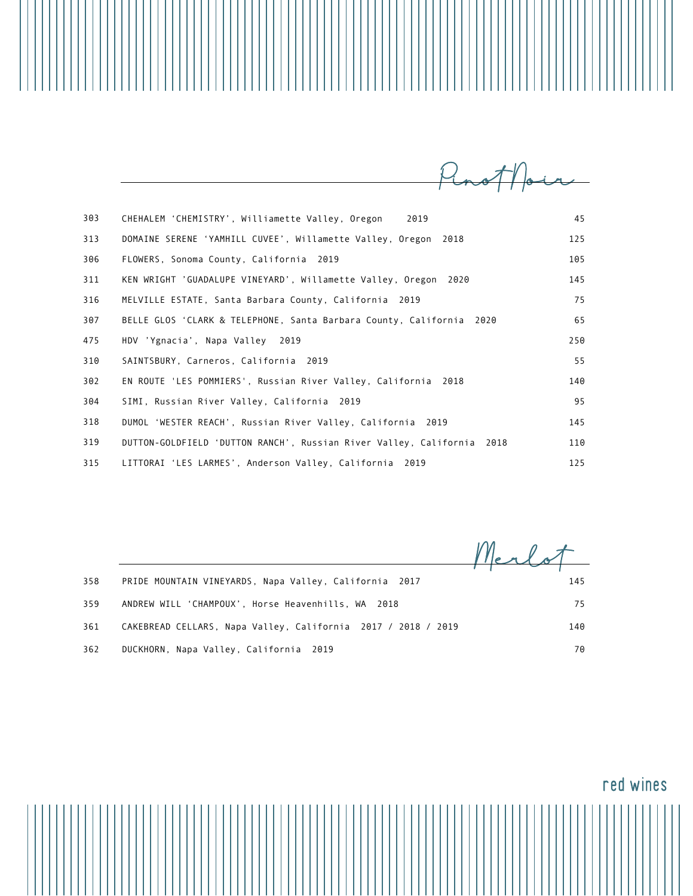CHEHALEM 'CHEMISTRY', Williamette Valley, Oregon 2019 45 DOMAINE SERENE 'YAMHILL CUVEE', Willamette Valley, Oregon 2018 125 FLOWERS, Sonoma County, California 2019 105 KEN WRIGHT 'GUADALUPE VINEYARD', Willamette Valley, Oregon 2020 145 MELVILLE ESTATE, Santa Barbara County, California 2019 75 BELLE GLOS 'CLARK & TELEPHONE, Santa Barbara County, California 2020 65 HDV 'Ygnacia', Napa Valley 2019 250 SAINTSBURY, Carneros, California 2019 55 EN ROUTE 'LES POMMIERS', Russian River Valley, California 2018 140 SIMI, Russian River Valley, California 2019 95 DUMOL 'WESTER REACH', Russian River Valley, California 2019 145 DUTTON-GOLDFIELD 'DUTTON RANCH', Russian River Valley, California 2018 110 LITTORAI 'LES LARMES', Anderson Valley, California 2019 125 303 313 306 311 316 307 475 310 302 304 318 319 315

PRIDE MOUNTAIN VINEYARDS, Napa Valley, California 2017 145 ANDREW WILL 'CHAMPOUX', Horse Heavenhills, WA 2018 75 CAKEBREAD CELLARS, Napa Valley, California 2017 / 2018 / 2019 140 DUCKHORN, Napa Valley, California 2019 **70** and the control of the control of the control of the control of the control of the control of the control of the control of the control of the control of the control of the contr Merlot 358 359 361 362

 $M_{\rm{no}}$ T//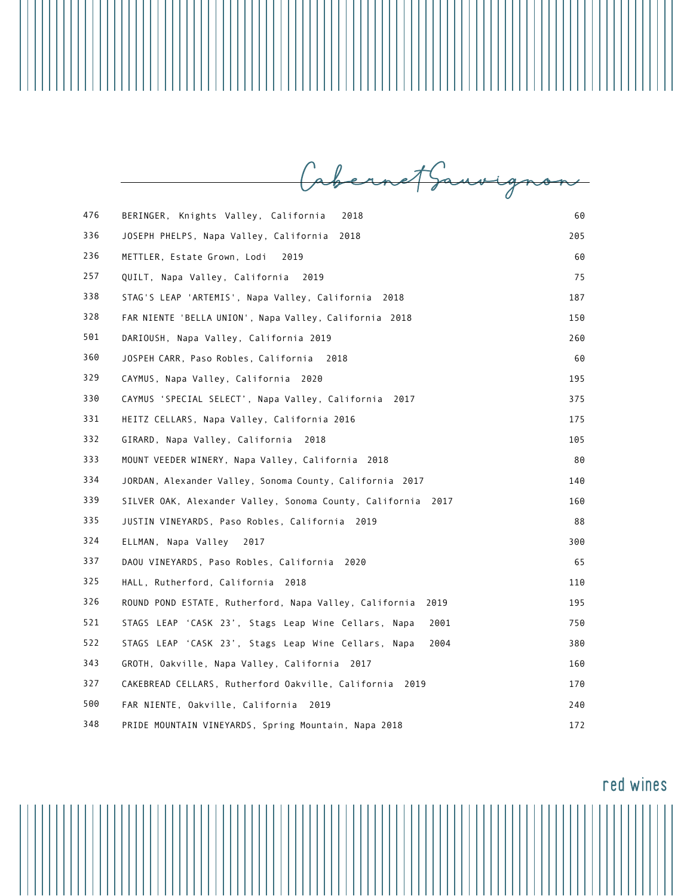Cabernet Sauvignon

| 476 | BERINGER, Knights Valley, California<br>2018                   | 60  |
|-----|----------------------------------------------------------------|-----|
| 336 | JOSEPH PHELPS, Napa Valley, California<br>2018                 | 205 |
| 236 | METTLER, Estate Grown, Lodi<br>2019                            | 60  |
| 257 | QUILT, Napa Valley, California<br>2019                         | 75  |
| 338 | STAG'S LEAP 'ARTEMIS', Napa Valley, California 2018            | 187 |
| 328 | FAR NIENTE 'BELLA UNION', Napa Valley, California 2018         | 150 |
| 501 | DARIOUSH, Napa Valley, California 2019                         | 260 |
| 360 | JOSPEH CARR, Paso Robles, California 2018                      | 60  |
| 329 | CAYMUS, Napa Valley, California 2020                           | 195 |
| 330 | CAYMUS 'SPECIAL SELECT', Napa Valley, California<br>2017       | 375 |
| 331 | HEITZ CELLARS, Napa Valley, California 2016                    | 175 |
| 332 | GIRARD, Napa Valley, California<br>2018                        | 105 |
| 333 | MOUNT VEEDER WINERY, Napa Valley, California 2018              | 80  |
| 334 | JORDAN, Alexander Valley, Sonoma County, California 2017       | 140 |
| 339 | SILVER OAK, Alexander Valley, Sonoma County, California 2017   | 160 |
| 335 | JUSTIN VINEYARDS, Paso Robles, California 2019                 | 88  |
| 324 | ELLMAN, Napa Valley<br>2017                                    | 300 |
| 337 | DAOU VINEYARDS, Paso Robles, California<br>2020                | 65  |
| 325 | HALL, Rutherford, California 2018                              | 110 |
| 326 | ROUND POND ESTATE, Rutherford, Napa Valley, California<br>2019 | 195 |
| 521 | STAGS LEAP 'CASK 23', Stags Leap Wine Cellars, Napa<br>2001    | 750 |
| 522 | STAGS LEAP 'CASK 23', Stags Leap Wine Cellars, Napa<br>2004    | 380 |
| 343 | GROTH, Oakville, Napa Valley, California 2017                  | 160 |
| 327 | CAKEBREAD CELLARS, Rutherford Oakville, California 2019        | 170 |
| 500 | FAR NIENTE, Oakville, California<br>2019                       | 240 |
| 348 | PRIDE MOUNTAIN VINEYARDS, Spring Mountain, Napa 2018           | 172 |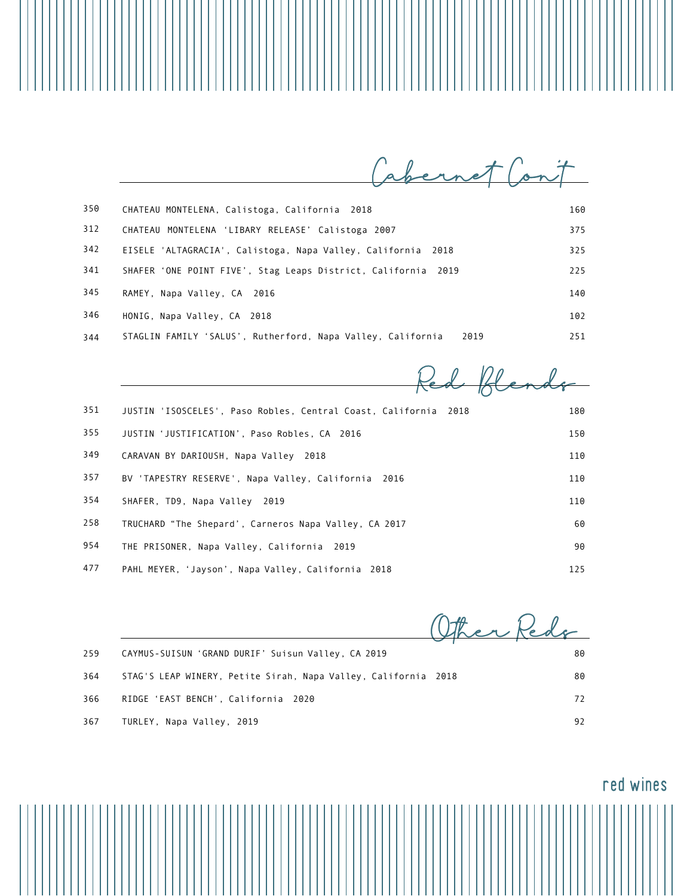Cabernet Cont

| 350 | CHATEAU MONTELENA, Calistoga, California 2018                       | 160 |
|-----|---------------------------------------------------------------------|-----|
| 312 | CHATEAU MONTELENA 'LIBARY RELEASE' Calistoga 2007                   | 375 |
| 342 | EISELE 'ALTAGRACIA', Calistoga, Napa Valley, California 2018        | 325 |
| 341 | SHAFER 'ONE POINT FIVE', Stag Leaps District, California 2019       | 225 |
| 345 | RAMEY, Napa Valley, CA 2016                                         | 140 |
| 346 | HONIG, Napa Valley, CA 2018                                         | 102 |
| 344 | STAGLIN FAMILY 'SALUS', Rutherford, Napa Valley, California<br>2019 | 251 |

| 351 | JUSTIN 'ISOSCELES', Paso Robles, Central Coast, California<br>2018 | 180 |
|-----|--------------------------------------------------------------------|-----|
| 355 | JUSTIN 'JUSTIFICATION', Paso Robles, CA 2016                       | 150 |
| 349 | CARAVAN BY DARIOUSH, Napa Valley 2018                              | 110 |
| 357 | BV 'TAPESTRY RESERVE', Napa Valley, California<br>2016             | 110 |
| 354 | SHAFER, TD9, Napa Valley 2019                                      | 110 |
| 258 | TRUCHARD "The Shepard', Carneros Napa Valley, CA 2017              | 60  |
| 954 | THE PRISONER, Napa Valley, California 2019                         | 90  |
| 477 | PAHL MEYER, 'Jayson', Napa Valley, California 2018                 | 125 |

|     |                                                                | then Redo |
|-----|----------------------------------------------------------------|-----------|
| 259 | CAYMUS-SUISUN 'GRAND DURIF' Suisun Valley, CA 2019             | 80        |
| 364 | STAG'S LEAP WINERY, Petite Sirah, Napa Valley, California 2018 | 80        |
| 366 | RIDGE 'EAST BENCH', California 2020                            | 72        |
| 367 | TURLEY, Napa Valley, 2019                                      | 92        |

Ш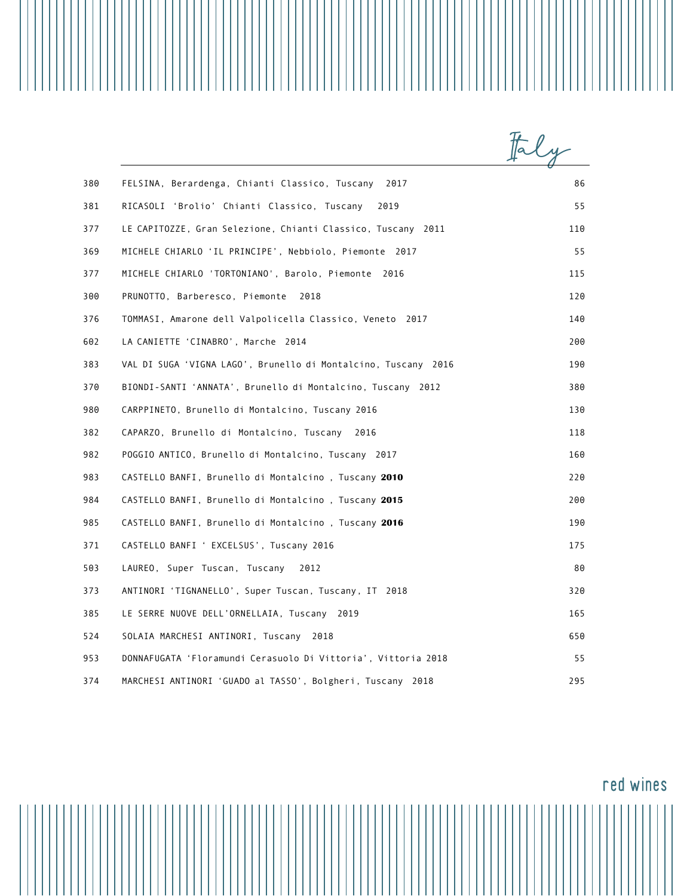|                                                                | taly |
|----------------------------------------------------------------|------|
| FELSINA, Berardenga, Chianti Classico, Tuscany 2017            | 86   |
| RICASOLI 'Brolio' Chianti Classico, Tuscany<br>2019            | 55   |
| LE CAPITOZZE, Gran Selezione, Chianti Classico, Tuscany 2011   | 110  |
| MICHELE CHIARLO 'IL PRINCIPE', Nebbiolo, Piemonte 2017         | 55   |
| MICHELE CHIARLO 'TORTONIANO', Barolo, Piemonte 2016            | 115  |
| PRUNOTTO, Barberesco, Piemonte<br>2018                         | 120  |
| TOMMASI, Amarone dell Valpolicella Classico, Veneto 2017       | 140  |
| LA CANIETTE 'CINABRO', Marche 2014                             | 200  |
| VAL DI SUGA 'VIGNA LAGO', Brunello di Montalcino, Tuscany 2016 | 190  |
| BIONDI-SANTI 'ANNATA', Brunello di Montalcino, Tuscany 2012    | 380  |
| CARPPINETO, Brunello di Montalcino, Tuscany 2016               | 130  |
| CAPARZO, Brunello di Montalcino, Tuscany 2016                  | 118  |
| POGGIO ANTICO, Brunello di Montalcino, Tuscany 2017            | 160  |
| CASTELLO BANFI, Brunello di Montalcino, Tuscany 2010           | 220  |
| CASTELLO BANFI, Brunello di Montalcino, Tuscany 2015           | 200  |
| CASTELLO BANFI, Brunello di Montalcino, Tuscany 2016           | 190  |
| CASTELLO BANFI ' EXCELSUS', Tuscany 2016                       | 175  |
| LAUREO, Super Tuscan, Tuscany<br>2012                          | 80   |
| ANTINORI 'TIGNANELLO', Super Tuscan, Tuscany, IT 2018          | 320  |
| LE SERRE NUOVE DELL'ORNELLAIA, Tuscany 2019                    | 165  |
| SOLAIA MARCHESI ANTINORI, Tuscany 2018                         | 650  |
| DONNAFUGATA 'Floramundi Cerasuolo Di Vittoria', Vittoria 2018  | 55   |
| MARCHESI ANTINORI 'GUADO al TASSO', Bolgheri, Tuscany 2018     | 295  |

||||||||||||||

red wines

 $\mathbf{||}\mathbf{||}\mathbf{||}\mathbf{||}$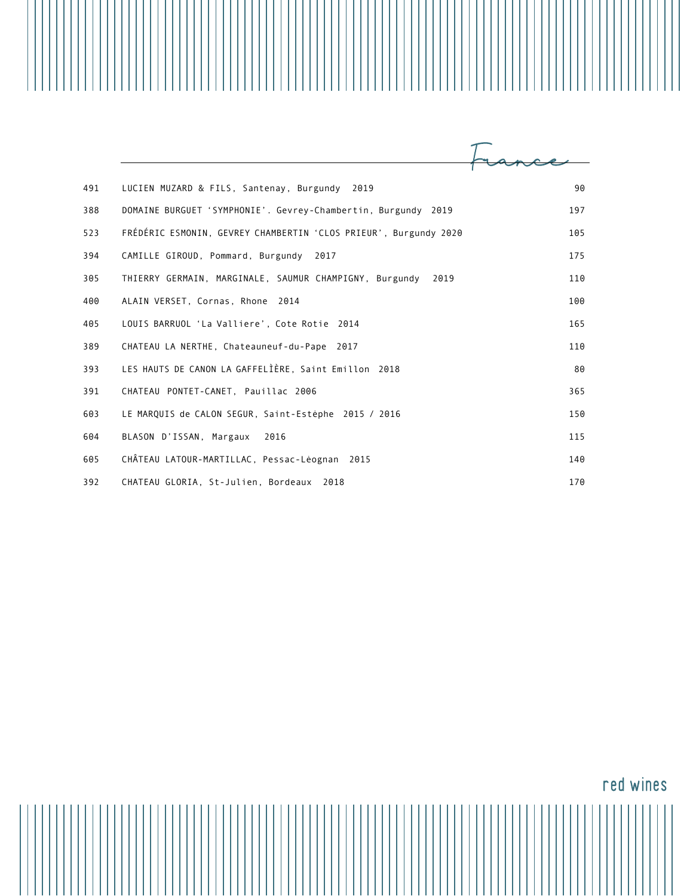| 491 | LUCIEN MUZARD & FILS, Santenay, Burgundy<br>2019                 | 90  |
|-----|------------------------------------------------------------------|-----|
| 388 | DOMAINE BURGUET 'SYMPHONIE'. Gevrey-Chambertin, Burgundy 2019    | 197 |
| 523 | FRÉDÉRIC ESMONIN, GEVREY CHAMBERTIN 'CLOS PRIEUR', Burgundy 2020 | 105 |
| 394 | CAMILLE GIROUD, Pommard, Burgundy<br>2017                        | 175 |
| 305 | THIERRY GERMAIN, MARGINALE, SAUMUR CHAMPIGNY, Burgundy<br>2019   | 110 |
| 400 | ALAIN VERSET, Cornas, Rhone 2014                                 | 100 |
| 405 | LOUIS BARRUOL 'La Valliere', Cote Rotie 2014                     | 165 |
| 389 | CHATEAU LA NERTHE, Chateauneuf-du-Pape 2017                      | 110 |
| 393 | LES HAUTS DE CANON LA GAFFELIÈRE, Saint Emillon 2018             | 80  |
| 391 | CHATEAU PONTET-CANET, Pauillac 2006                              | 365 |
| 603 | LE MARQUIS de CALON SEGUR, Saint-Estèphe 2015 / 2016             | 150 |
| 604 | BLASON D'ISSAN, Margaux<br>2016                                  | 115 |
| 605 | CHÂTEAU LATOUR-MARTILLAC, Pessac-Léognan 2015                    | 140 |
| 392 | CHATEAU GLORIA, St-Julien, Bordeaux 2018                         | 170 |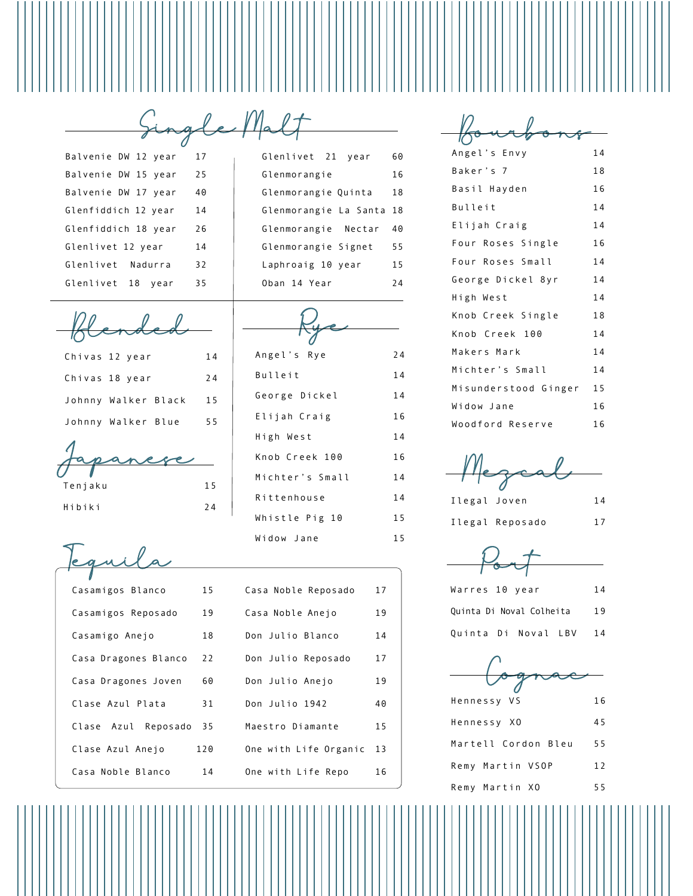Glenlivet 21 year 60 Glenmorangie 16 Glenmorangie Quinta 18 Glenmorangie La Santa 18

 $\overline{\phantom{0}}$ 

Single Malt Balvenie DW 12 year 17 Balvenie DW 15 year 25 Balvenie DW 17 year 40 Glenfiddich 12 year 14 Glenfiddich 18 year 26 Glenlivet 12 year 14 Glenlivet Nadurra 32 Glenlivet 18 year 35

Blended

| Chivas 12 year      | 14 |
|---------------------|----|
| Chivas 18 year      | 24 |
| Johnny Walker Black | 15 |
| Johnny Walker Blue  | 55 |

Japanese Tenjaku 15

Hibiki 24

| Glenmorangie Nectar | 40 |
|---------------------|----|
| Glenmorangie Signet | 55 |
| Laphroaig 10 year   | 15 |
| Oban 14 Year        | 24 |
|                     |    |
| Angel's Rye         | 24 |
| Bulleit             | 14 |
| George Dickel       | 14 |
| Elijah Craig        | 16 |
| High West           | 14 |

Knob Creek 100 16 Michter's Small 14 Rittenhouse 14 Whistle Pig 10 15 Widow Jane 15

| Casamigos Blanco          | 15  | Casa Noble Reposado   | 17 |
|---------------------------|-----|-----------------------|----|
| Casamigos Reposado        | 19  | Casa Noble Anejo      | 19 |
| Casamigo Anejo            | 18  | Don Julio Blanco      | 14 |
| Casa Dragones Blanco      | 22  | Don Julio Reposado    | 17 |
| Casa Dragones Joven       | 60  | Don Julio Anejo       | 19 |
| Clase Azul Plata          | 31  | Don Julio 1942        | 40 |
| Clase<br>Azul<br>Reposado | 35  | Maestro Diamante      | 15 |
| Clase Azul Anejo          | 120 | One with Life Organic | 13 |
| Casa Noble Blanco         | 14  | One with Life Repo    | 16 |

| Angel's Envy         | 14 |
|----------------------|----|
| Baker's 7            | 18 |
| Basil Hayden         | 16 |
| Bulleit              | 14 |
| Elijah Craig         | 14 |
| Four Roses Single    | 16 |
| Four Roses Small     | 14 |
| George Dickel 8yr    | 14 |
| High West            | 14 |
| Knob Creek Single    | 18 |
| Knob Creek 100       | 14 |
| Makers Mark          | 14 |
| Michter's Small      | 14 |
| Misunderstood Ginger | 15 |
| Widow Jane           | 16 |
| Woodford Reserve     | 16 |

Mezcal

Ilegal Joven 14 Ilegal Reposado 17

Port

| Warres 10 year           |  | 14 |
|--------------------------|--|----|
| Quinta Di Noval Colheita |  | 19 |
| Quinta Di Noval LBV      |  | 14 |

| Hennessy VS         | 16 |
|---------------------|----|
| Hennessy XO         | 45 |
| Martell Cordon Bleu | 55 |
| Remy Martin VSOP    | 12 |
| Remy Martin XO      | 55 |